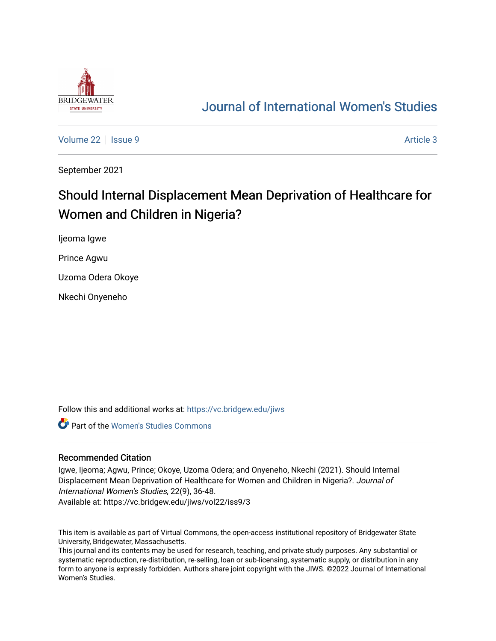

## [Journal of International Women's Studies](https://vc.bridgew.edu/jiws)

[Volume 22](https://vc.bridgew.edu/jiws/vol22) | [Issue 9](https://vc.bridgew.edu/jiws/vol22/iss9) Article 3

September 2021

# Should Internal Displacement Mean Deprivation of Healthcare for Women and Children in Nigeria?

Ijeoma Igwe

Prince Agwu

Uzoma Odera Okoye

Nkechi Onyeneho

Follow this and additional works at: [https://vc.bridgew.edu/jiws](https://vc.bridgew.edu/jiws?utm_source=vc.bridgew.edu%2Fjiws%2Fvol22%2Fiss9%2F3&utm_medium=PDF&utm_campaign=PDFCoverPages)

Part of the [Women's Studies Commons](http://network.bepress.com/hgg/discipline/561?utm_source=vc.bridgew.edu%2Fjiws%2Fvol22%2Fiss9%2F3&utm_medium=PDF&utm_campaign=PDFCoverPages) 

#### Recommended Citation

Igwe, Ijeoma; Agwu, Prince; Okoye, Uzoma Odera; and Onyeneho, Nkechi (2021). Should Internal Displacement Mean Deprivation of Healthcare for Women and Children in Nigeria?. Journal of International Women's Studies, 22(9), 36-48.

Available at: https://vc.bridgew.edu/jiws/vol22/iss9/3

This item is available as part of Virtual Commons, the open-access institutional repository of Bridgewater State University, Bridgewater, Massachusetts.

This journal and its contents may be used for research, teaching, and private study purposes. Any substantial or systematic reproduction, re-distribution, re-selling, loan or sub-licensing, systematic supply, or distribution in any form to anyone is expressly forbidden. Authors share joint copyright with the JIWS. ©2022 Journal of International Women's Studies.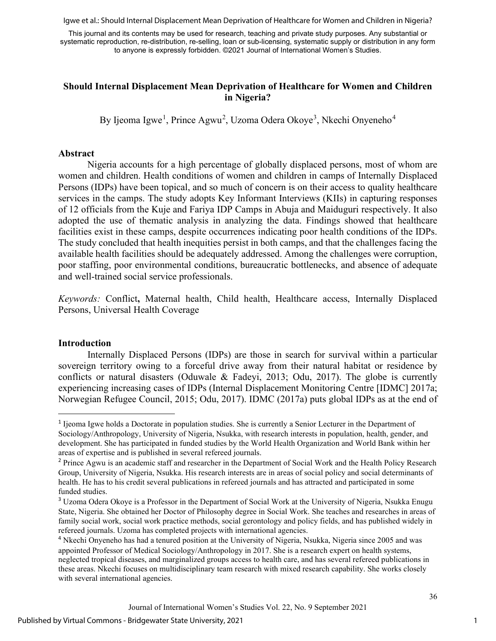Igwe et al.: Should Internal Displacement Mean Deprivation of Healthcare for Women and Children in Nigeria?

This journal and its contents may be used for research, teaching and private study purposes. Any substantial or systematic reproduction, re-distribution, re-selling, loan or sub-licensing, systematic supply or distribution in any form to anyone is expressly forbidden. ©2021 Journal of International Women's Studies.

## **Should Internal Displacement Mean Deprivation of Healthcare for Women and Children in Nigeria?**

By Ijeoma Igwe<sup>[1](#page-1-0)</sup>, Prince Agwu<sup>[2](#page-1-1)</sup>, Uzoma Odera Okoye<sup>[3](#page-1-2)</sup>, Nkechi Onyeneho<sup>[4](#page-1-3)</sup>

## **Abstract**

Nigeria accounts for a high percentage of globally displaced persons, most of whom are women and children. Health conditions of women and children in camps of Internally Displaced Persons (IDPs) have been topical, and so much of concern is on their access to quality healthcare services in the camps. The study adopts Key Informant Interviews (KIIs) in capturing responses of 12 officials from the Kuje and Fariya IDP Camps in Abuja and Maiduguri respectively. It also adopted the use of thematic analysis in analyzing the data. Findings showed that healthcare facilities exist in these camps, despite occurrences indicating poor health conditions of the IDPs. The study concluded that health inequities persist in both camps, and that the challenges facing the available health facilities should be adequately addressed. Among the challenges were corruption, poor staffing, poor environmental conditions, bureaucratic bottlenecks, and absence of adequate and well-trained social service professionals.

*Keywords:* Conflict**,** Maternal health, Child health, Healthcare access, Internally Displaced Persons, Universal Health Coverage

## **Introduction**

Internally Displaced Persons (IDPs) are those in search for survival within a particular sovereign territory owing to a forceful drive away from their natural habitat or residence by conflicts or natural disasters (Oduwale & Fadeyi, 2013; Odu, 2017). The globe is currently experiencing increasing cases of IDPs (Internal Displacement Monitoring Centre [IDMC] 2017a; Norwegian Refugee Council, 2015; Odu, 2017). IDMC (2017a) puts global IDPs as at the end of

<span id="page-1-0"></span><sup>1</sup> Ijeoma Igwe holds a Doctorate in population studies. She is currently a Senior Lecturer in the Department of Sociology/Anthropology, University of Nigeria, Nsukka, with research interests in population, health, gender, and development. She has participated in funded studies by the World Health Organization and World Bank within her areas of expertise and is published in several refereed journals.

<span id="page-1-1"></span><sup>&</sup>lt;sup>2</sup> Prince Agwu is an academic staff and researcher in the Department of Social Work and the Health Policy Research Group, University of Nigeria, Nsukka. His research interests are in areas of social policy and social determinants of health. He has to his credit several publications in refereed journals and has attracted and participated in some funded studies.

<span id="page-1-2"></span><sup>&</sup>lt;sup>3</sup> Uzoma Odera Okoye is a Professor in the Department of Social Work at the University of Nigeria, Nsukka Enugu State, Nigeria. She obtained her Doctor of Philosophy degree in Social Work. She teaches and researches in areas of family social work, social work practice methods, social gerontology and policy fields, and has published widely in refereed journals. Uzoma has completed projects with international agencies.

<span id="page-1-3"></span><sup>&</sup>lt;sup>4</sup> Nkechi Onyeneho has had a tenured position at the University of Nigeria, Nsukka, Nigeria since 2005 and was appointed Professor of Medical Sociology/Anthropology in 2017. She is a research expert on health systems, neglected tropical diseases, and marginalized groups access to health care, and has several refereed publications in these areas. Nkechi focuses on multidisciplinary team research with mixed research capability. She works closely with several international agencies.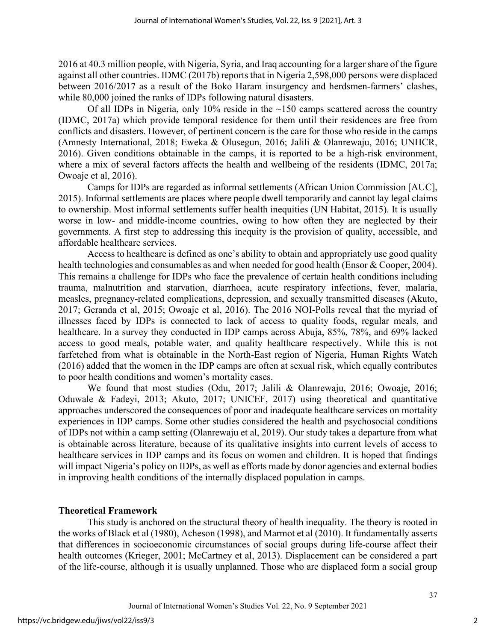2016 at 40.3 million people, with Nigeria, Syria, and Iraq accounting for a larger share of the figure against all other countries. IDMC (2017b) reports that in Nigeria 2,598,000 persons were displaced between 2016/2017 as a result of the Boko Haram insurgency and herdsmen-farmers' clashes, while 80,000 joined the ranks of IDPs following natural disasters.

Of all IDPs in Nigeria, only 10% reside in the  $\sim$ 150 camps scattered across the country (IDMC, 2017a) which provide temporal residence for them until their residences are free from conflicts and disasters. However, of pertinent concern is the care for those who reside in the camps (Amnesty International, 2018; Eweka & Olusegun, 2016; Jalili & Olanrewaju, 2016; UNHCR, 2016). Given conditions obtainable in the camps, it is reported to be a high-risk environment, where a mix of several factors affects the health and wellbeing of the residents (IDMC, 2017a; Owoaje et al, 2016).

Camps for IDPs are regarded as informal settlements (African Union Commission [AUC], 2015). Informal settlements are places where people dwell temporarily and cannot lay legal claims to ownership. Most informal settlements suffer health inequities (UN Habitat, 2015). It is usually worse in low- and middle-income countries, owing to how often they are neglected by their governments. A first step to addressing this inequity is the provision of quality, accessible, and affordable healthcare services.

Access to healthcare is defined as one's ability to obtain and appropriately use good quality health technologies and consumables as and when needed for good health (Ensor & Cooper, 2004). This remains a challenge for IDPs who face the prevalence of certain health conditions including trauma, malnutrition and starvation, diarrhoea, acute respiratory infections, fever, malaria, measles, pregnancy-related complications, depression, and sexually transmitted diseases (Akuto, 2017; Geranda et al, 2015; Owoaje et al, 2016). The 2016 NOI-Polls reveal that the myriad of illnesses faced by IDPs is connected to lack of access to quality foods, regular meals, and healthcare. In a survey they conducted in IDP camps across Abuja, 85%, 78%, and 69% lacked access to good meals, potable water, and quality healthcare respectively. While this is not farfetched from what is obtainable in the North-East region of Nigeria, Human Rights Watch (2016) added that the women in the IDP camps are often at sexual risk, which equally contributes to poor health conditions and women's mortality cases.

We found that most studies (Odu, 2017; Jalili & Olanrewaju, 2016; Owoaje, 2016; Oduwale & Fadeyi, 2013; Akuto, 2017; UNICEF, 2017) using theoretical and quantitative approaches underscored the consequences of poor and inadequate healthcare services on mortality experiences in IDP camps. Some other studies considered the health and psychosocial conditions of IDPs not within a camp setting (Olanrewaju et al, 2019). Our study takes a departure from what is obtainable across literature, because of its qualitative insights into current levels of access to healthcare services in IDP camps and its focus on women and children. It is hoped that findings will impact Nigeria's policy on IDPs, as well as efforts made by donor agencies and external bodies in improving health conditions of the internally displaced population in camps.

## **Theoretical Framework**

This study is anchored on the structural theory of health inequality. The theory is rooted in the works of Black et al (1980), Acheson (1998), and Marmot et al (2010). It fundamentally asserts that differences in socioeconomic circumstances of social groups during life-course affect their health outcomes (Krieger, 2001; McCartney et al, 2013). Displacement can be considered a part of the life-course, although it is usually unplanned. Those who are displaced form a social group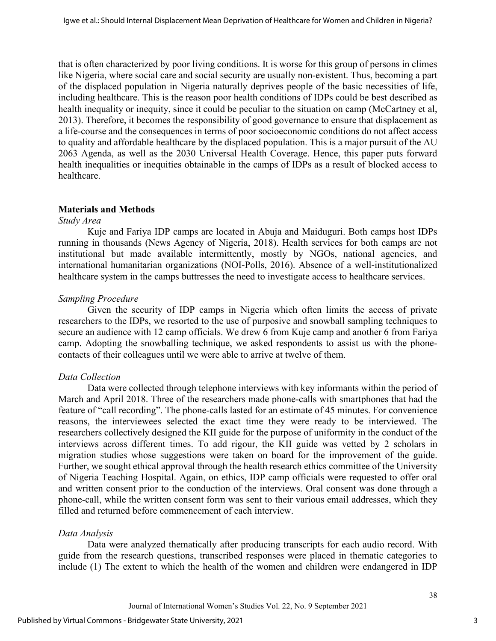that is often characterized by poor living conditions. It is worse for this group of persons in climes like Nigeria, where social care and social security are usually non-existent. Thus, becoming a part of the displaced population in Nigeria naturally deprives people of the basic necessities of life, including healthcare. This is the reason poor health conditions of IDPs could be best described as health inequality or inequity, since it could be peculiar to the situation on camp (McCartney et al, 2013). Therefore, it becomes the responsibility of good governance to ensure that displacement as a life-course and the consequences in terms of poor socioeconomic conditions do not affect access to quality and affordable healthcare by the displaced population. This is a major pursuit of the AU 2063 Agenda, as well as the 2030 Universal Health Coverage. Hence, this paper puts forward health inequalities or inequities obtainable in the camps of IDPs as a result of blocked access to healthcare.

## **Materials and Methods**

#### *Study Area*

Kuje and Fariya IDP camps are located in Abuja and Maiduguri. Both camps host IDPs running in thousands (News Agency of Nigeria, 2018). Health services for both camps are not institutional but made available intermittently, mostly by NGOs, national agencies, and international humanitarian organizations (NOI-Polls, 2016). Absence of a well-institutionalized healthcare system in the camps buttresses the need to investigate access to healthcare services.

## *Sampling Procedure*

Given the security of IDP camps in Nigeria which often limits the access of private researchers to the IDPs, we resorted to the use of purposive and snowball sampling techniques to secure an audience with 12 camp officials. We drew 6 from Kuje camp and another 6 from Fariya camp. Adopting the snowballing technique, we asked respondents to assist us with the phonecontacts of their colleagues until we were able to arrive at twelve of them.

## *Data Collection*

Data were collected through telephone interviews with key informants within the period of March and April 2018. Three of the researchers made phone-calls with smartphones that had the feature of "call recording". The phone-calls lasted for an estimate of 45 minutes. For convenience reasons, the interviewees selected the exact time they were ready to be interviewed. The researchers collectively designed the KII guide for the purpose of uniformity in the conduct of the interviews across different times. To add rigour, the KII guide was vetted by 2 scholars in migration studies whose suggestions were taken on board for the improvement of the guide. Further, we sought ethical approval through the health research ethics committee of the University of Nigeria Teaching Hospital. Again, on ethics, IDP camp officials were requested to offer oral and written consent prior to the conduction of the interviews. Oral consent was done through a phone-call, while the written consent form was sent to their various email addresses, which they filled and returned before commencement of each interview.

## *Data Analysis*

Data were analyzed thematically after producing transcripts for each audio record. With guide from the research questions, transcribed responses were placed in thematic categories to include (1) The extent to which the health of the women and children were endangered in IDP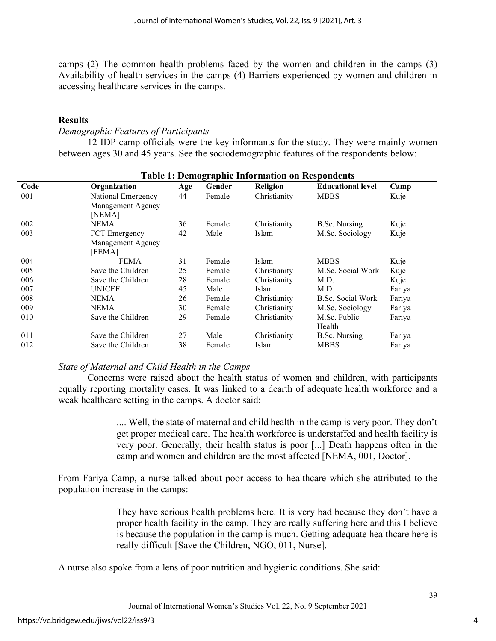camps (2) The common health problems faced by the women and children in the camps (3) Availability of health services in the camps (4) Barriers experienced by women and children in accessing healthcare services in the camps.

## **Results**

## *Demographic Features of Participants*

12 IDP camp officials were the key informants for the study. They were mainly women between ages 30 and 45 years. See the sociodemographic features of the respondents below:

| Code | Organization       | Age | Gender | <b>Religion</b> | <b>Educational level</b> | Camp   |
|------|--------------------|-----|--------|-----------------|--------------------------|--------|
| 001  | National Emergency | 44  | Female | Christianity    | <b>MBBS</b>              | Kuje   |
|      | Management Agency  |     |        |                 |                          |        |
|      | [NEMA]             |     |        |                 |                          |        |
| 002  | <b>NEMA</b>        | 36  | Female | Christianity    | B.Sc. Nursing            | Kuje   |
| 003  | FCT Emergency      | 42  | Male   | Islam           | M.Sc. Sociology          | Kuje   |
|      | Management Agency  |     |        |                 |                          |        |
|      | [FEMA]             |     |        |                 |                          |        |
| 004  | <b>FEMA</b>        | 31  | Female | Islam           | <b>MBBS</b>              | Kuje   |
| 005  | Save the Children  | 25  | Female | Christianity    | M.Sc. Social Work        | Kuje   |
| 006  | Save the Children  | 28  | Female | Christianity    | M.D.                     | Kuje   |
| 007  | <b>UNICEF</b>      | 45  | Male   | <b>Islam</b>    | M.D                      | Fariya |
| 008  | <b>NEMA</b>        | 26  | Female | Christianity    | B.Sc. Social Work        | Fariya |
| 009  | <b>NEMA</b>        | 30  | Female | Christianity    | M.Sc. Sociology          | Fariya |
| 010  | Save the Children  | 29  | Female | Christianity    | M.Sc. Public             | Fariya |
|      |                    |     |        |                 | Health                   |        |
| 011  | Save the Children  | 27  | Male   | Christianity    | B.Sc. Nursing            | Fariya |
| 012  | Save the Children  | 38  | Female | Islam           | <b>MBBS</b>              | Fariya |

## **Table 1: Demographic Information on Respondents**

## *State of Maternal and Child Health in the Camps*

Concerns were raised about the health status of women and children, with participants equally reporting mortality cases. It was linked to a dearth of adequate health workforce and a weak healthcare setting in the camps. A doctor said:

> .... Well, the state of maternal and child health in the camp is very poor. They don't get proper medical care. The health workforce is understaffed and health facility is very poor. Generally, their health status is poor [...] Death happens often in the camp and women and children are the most affected [NEMA, 001, Doctor].

From Fariya Camp, a nurse talked about poor access to healthcare which she attributed to the population increase in the camps:

> They have serious health problems here. It is very bad because they don't have a proper health facility in the camp. They are really suffering here and this I believe is because the population in the camp is much. Getting adequate healthcare here is really difficult [Save the Children, NGO, 011, Nurse].

A nurse also spoke from a lens of poor nutrition and hygienic conditions. She said: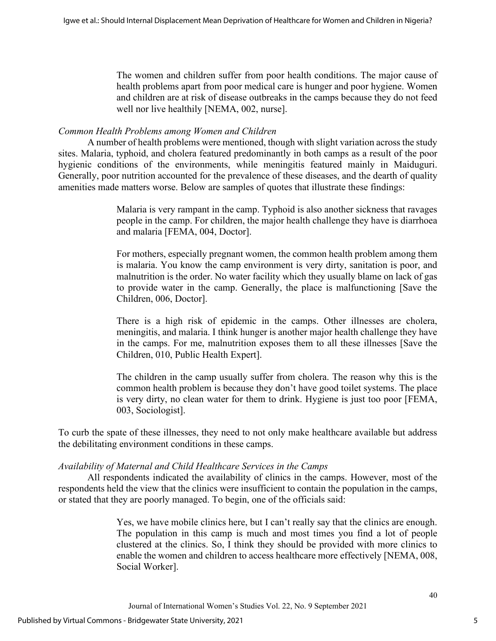The women and children suffer from poor health conditions. The major cause of health problems apart from poor medical care is hunger and poor hygiene. Women and children are at risk of disease outbreaks in the camps because they do not feed well nor live healthily [NEMA, 002, nurse].

## *Common Health Problems among Women and Children*

A number of health problems were mentioned, though with slight variation across the study sites. Malaria, typhoid, and cholera featured predominantly in both camps as a result of the poor hygienic conditions of the environments, while meningitis featured mainly in Maiduguri. Generally, poor nutrition accounted for the prevalence of these diseases, and the dearth of quality amenities made matters worse. Below are samples of quotes that illustrate these findings:

> Malaria is very rampant in the camp. Typhoid is also another sickness that ravages people in the camp. For children, the major health challenge they have is diarrhoea and malaria [FEMA, 004, Doctor].

> For mothers, especially pregnant women, the common health problem among them is malaria. You know the camp environment is very dirty, sanitation is poor, and malnutrition is the order. No water facility which they usually blame on lack of gas to provide water in the camp. Generally, the place is malfunctioning [Save the Children, 006, Doctor].

> There is a high risk of epidemic in the camps. Other illnesses are cholera, meningitis, and malaria. I think hunger is another major health challenge they have in the camps. For me, malnutrition exposes them to all these illnesses [Save the Children, 010, Public Health Expert].

> The children in the camp usually suffer from cholera. The reason why this is the common health problem is because they don't have good toilet systems. The place is very dirty, no clean water for them to drink. Hygiene is just too poor [FEMA, 003, Sociologist].

To curb the spate of these illnesses, they need to not only make healthcare available but address the debilitating environment conditions in these camps.

## *Availability of Maternal and Child Healthcare Services in the Camps*

All respondents indicated the availability of clinics in the camps. However, most of the respondents held the view that the clinics were insufficient to contain the population in the camps, or stated that they are poorly managed. To begin, one of the officials said:

> Yes, we have mobile clinics here, but I can't really say that the clinics are enough. The population in this camp is much and most times you find a lot of people clustered at the clinics. So, I think they should be provided with more clinics to enable the women and children to access healthcare more effectively [NEMA, 008, Social Worker].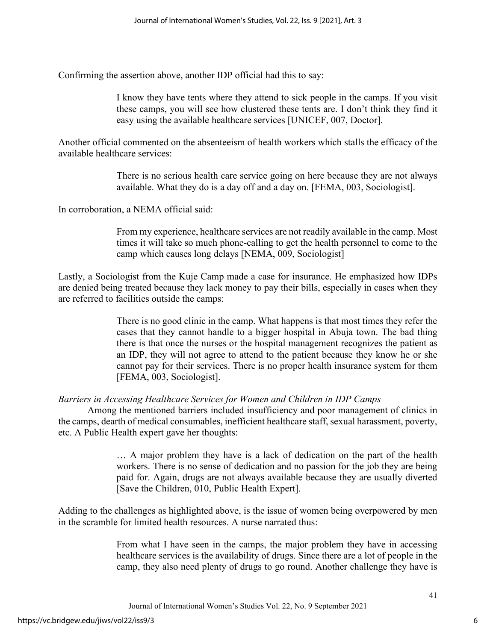Confirming the assertion above, another IDP official had this to say:

I know they have tents where they attend to sick people in the camps. If you visit these camps, you will see how clustered these tents are. I don't think they find it easy using the available healthcare services [UNICEF, 007, Doctor].

Another official commented on the absenteeism of health workers which stalls the efficacy of the available healthcare services:

> There is no serious health care service going on here because they are not always available. What they do is a day off and a day on. [FEMA, 003, Sociologist].

In corroboration, a NEMA official said:

From my experience, healthcare services are not readily available in the camp. Most times it will take so much phone-calling to get the health personnel to come to the camp which causes long delays [NEMA, 009, Sociologist]

Lastly, a Sociologist from the Kuje Camp made a case for insurance. He emphasized how IDPs are denied being treated because they lack money to pay their bills, especially in cases when they are referred to facilities outside the camps:

> There is no good clinic in the camp. What happens is that most times they refer the cases that they cannot handle to a bigger hospital in Abuja town. The bad thing there is that once the nurses or the hospital management recognizes the patient as an IDP, they will not agree to attend to the patient because they know he or she cannot pay for their services. There is no proper health insurance system for them [FEMA, 003, Sociologist].

## *Barriers in Accessing Healthcare Services for Women and Children in IDP Camps*

Among the mentioned barriers included insufficiency and poor management of clinics in the camps, dearth of medical consumables, inefficient healthcare staff, sexual harassment, poverty, etc. A Public Health expert gave her thoughts:

> … A major problem they have is a lack of dedication on the part of the health workers. There is no sense of dedication and no passion for the job they are being paid for. Again, drugs are not always available because they are usually diverted [Save the Children, 010, Public Health Expert].

Adding to the challenges as highlighted above, is the issue of women being overpowered by men in the scramble for limited health resources. A nurse narrated thus:

> From what I have seen in the camps, the major problem they have in accessing healthcare services is the availability of drugs. Since there are a lot of people in the camp, they also need plenty of drugs to go round. Another challenge they have is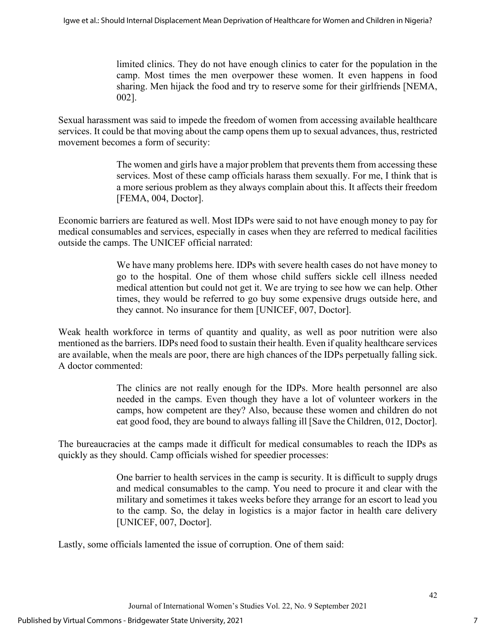limited clinics. They do not have enough clinics to cater for the population in the camp. Most times the men overpower these women. It even happens in food sharing. Men hijack the food and try to reserve some for their girlfriends [NEMA, 002].

Sexual harassment was said to impede the freedom of women from accessing available healthcare services. It could be that moving about the camp opens them up to sexual advances, thus, restricted movement becomes a form of security:

> The women and girls have a major problem that prevents them from accessing these services. Most of these camp officials harass them sexually. For me, I think that is a more serious problem as they always complain about this. It affects their freedom [FEMA, 004, Doctor].

Economic barriers are featured as well. Most IDPs were said to not have enough money to pay for medical consumables and services, especially in cases when they are referred to medical facilities outside the camps. The UNICEF official narrated:

> We have many problems here. IDPs with severe health cases do not have money to go to the hospital. One of them whose child suffers sickle cell illness needed medical attention but could not get it. We are trying to see how we can help. Other times, they would be referred to go buy some expensive drugs outside here, and they cannot. No insurance for them [UNICEF, 007, Doctor].

Weak health workforce in terms of quantity and quality, as well as poor nutrition were also mentioned as the barriers. IDPs need food to sustain their health. Even if quality healthcare services are available, when the meals are poor, there are high chances of the IDPs perpetually falling sick. A doctor commented:

> The clinics are not really enough for the IDPs. More health personnel are also needed in the camps. Even though they have a lot of volunteer workers in the camps, how competent are they? Also, because these women and children do not eat good food, they are bound to always falling ill [Save the Children, 012, Doctor].

The bureaucracies at the camps made it difficult for medical consumables to reach the IDPs as quickly as they should. Camp officials wished for speedier processes:

> One barrier to health services in the camp is security. It is difficult to supply drugs and medical consumables to the camp. You need to procure it and clear with the military and sometimes it takes weeks before they arrange for an escort to lead you to the camp. So, the delay in logistics is a major factor in health care delivery [UNICEF, 007, Doctor].

Lastly, some officials lamented the issue of corruption. One of them said: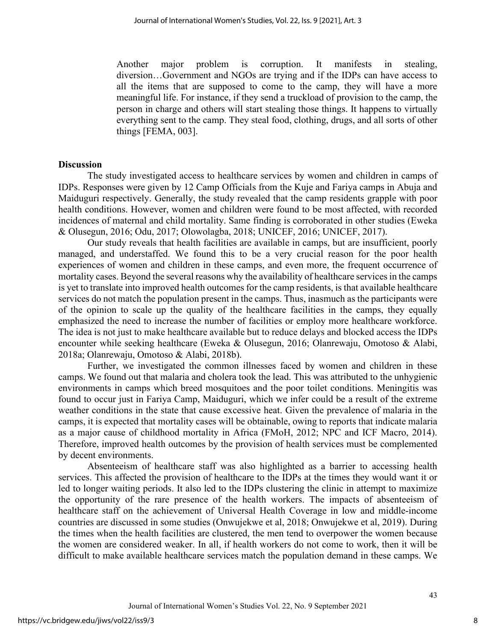Another major problem is corruption. It manifests in stealing, diversion…Government and NGOs are trying and if the IDPs can have access to all the items that are supposed to come to the camp, they will have a more meaningful life. For instance, if they send a truckload of provision to the camp, the person in charge and others will start stealing those things. It happens to virtually everything sent to the camp. They steal food, clothing, drugs, and all sorts of other things [FEMA, 003].

#### **Discussion**

The study investigated access to healthcare services by women and children in camps of IDPs. Responses were given by 12 Camp Officials from the Kuje and Fariya camps in Abuja and Maiduguri respectively. Generally, the study revealed that the camp residents grapple with poor health conditions. However, women and children were found to be most affected, with recorded incidences of maternal and child mortality. Same finding is corroborated in other studies (Eweka & Olusegun, 2016; Odu, 2017; Olowolagba, 2018; UNICEF, 2016; UNICEF, 2017).

Our study reveals that health facilities are available in camps, but are insufficient, poorly managed, and understaffed. We found this to be a very crucial reason for the poor health experiences of women and children in these camps, and even more, the frequent occurrence of mortality cases. Beyond the several reasons why the availability of healthcare services in the camps is yet to translate into improved health outcomes for the camp residents, is that available healthcare services do not match the population present in the camps. Thus, inasmuch as the participants were of the opinion to scale up the quality of the healthcare facilities in the camps, they equally emphasized the need to increase the number of facilities or employ more healthcare workforce. The idea is not just to make healthcare available but to reduce delays and blocked access the IDPs encounter while seeking healthcare (Eweka & Olusegun, 2016; Olanrewaju, Omotoso & Alabi, 2018a; Olanrewaju, Omotoso & Alabi, 2018b).

Further, we investigated the common illnesses faced by women and children in these camps. We found out that malaria and cholera took the lead. This was attributed to the unhygienic environments in camps which breed mosquitoes and the poor toilet conditions. Meningitis was found to occur just in Fariya Camp, Maiduguri, which we infer could be a result of the extreme weather conditions in the state that cause excessive heat. Given the prevalence of malaria in the camps, it is expected that mortality cases will be obtainable, owing to reports that indicate malaria as a major cause of childhood mortality in Africa (FMoH, 2012; NPC and ICF Macro, 2014). Therefore, improved health outcomes by the provision of health services must be complemented by decent environments.

Absenteeism of healthcare staff was also highlighted as a barrier to accessing health services. This affected the provision of healthcare to the IDPs at the times they would want it or led to longer waiting periods. It also led to the IDPs clustering the clinic in attempt to maximize the opportunity of the rare presence of the health workers. The impacts of absenteeism of healthcare staff on the achievement of Universal Health Coverage in low and middle-income countries are discussed in some studies (Onwujekwe et al, 2018; Onwujekwe et al, 2019). During the times when the health facilities are clustered, the men tend to overpower the women because the women are considered weaker. In all, if health workers do not come to work, then it will be difficult to make available healthcare services match the population demand in these camps. We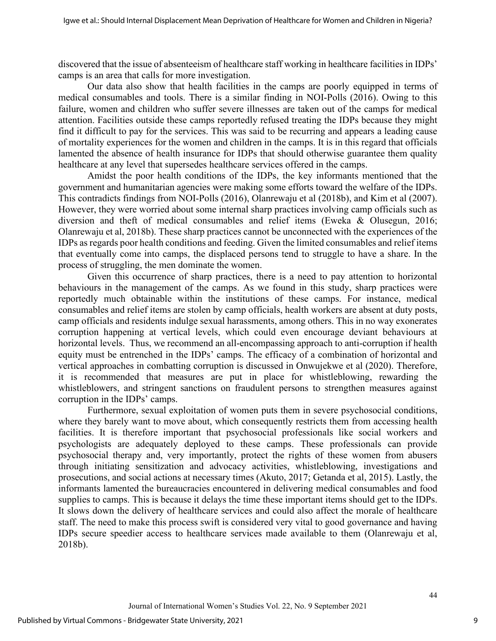discovered that the issue of absenteeism of healthcare staff working in healthcare facilities in IDPs' camps is an area that calls for more investigation.

Our data also show that health facilities in the camps are poorly equipped in terms of medical consumables and tools. There is a similar finding in NOI-Polls (2016). Owing to this failure, women and children who suffer severe illnesses are taken out of the camps for medical attention. Facilities outside these camps reportedly refused treating the IDPs because they might find it difficult to pay for the services. This was said to be recurring and appears a leading cause of mortality experiences for the women and children in the camps. It is in this regard that officials lamented the absence of health insurance for IDPs that should otherwise guarantee them quality healthcare at any level that supersedes healthcare services offered in the camps.

Amidst the poor health conditions of the IDPs, the key informants mentioned that the government and humanitarian agencies were making some efforts toward the welfare of the IDPs. This contradicts findings from NOI-Polls (2016), Olanrewaju et al (2018b), and Kim et al (2007). However, they were worried about some internal sharp practices involving camp officials such as diversion and theft of medical consumables and relief items (Eweka & Olusegun, 2016; Olanrewaju et al, 2018b). These sharp practices cannot be unconnected with the experiences of the IDPs as regards poor health conditions and feeding. Given the limited consumables and relief items that eventually come into camps, the displaced persons tend to struggle to have a share. In the process of struggling, the men dominate the women.

Given this occurrence of sharp practices, there is a need to pay attention to horizontal behaviours in the management of the camps. As we found in this study, sharp practices were reportedly much obtainable within the institutions of these camps. For instance, medical consumables and relief items are stolen by camp officials, health workers are absent at duty posts, camp officials and residents indulge sexual harassments, among others. This in no way exonerates corruption happening at vertical levels, which could even encourage deviant behaviours at horizontal levels. Thus, we recommend an all-encompassing approach to anti-corruption if health equity must be entrenched in the IDPs' camps. The efficacy of a combination of horizontal and vertical approaches in combatting corruption is discussed in Onwujekwe et al (2020). Therefore, it is recommended that measures are put in place for whistleblowing, rewarding the whistleblowers, and stringent sanctions on fraudulent persons to strengthen measures against corruption in the IDPs' camps.

Furthermore, sexual exploitation of women puts them in severe psychosocial conditions, where they barely want to move about, which consequently restricts them from accessing health facilities. It is therefore important that psychosocial professionals like social workers and psychologists are adequately deployed to these camps. These professionals can provide psychosocial therapy and, very importantly, protect the rights of these women from abusers through initiating sensitization and advocacy activities, whistleblowing, investigations and prosecutions, and social actions at necessary times (Akuto, 2017; Getanda et al, 2015). Lastly, the informants lamented the bureaucracies encountered in delivering medical consumables and food supplies to camps. This is because it delays the time these important items should get to the IDPs. It slows down the delivery of healthcare services and could also affect the morale of healthcare staff. The need to make this process swift is considered very vital to good governance and having IDPs secure speedier access to healthcare services made available to them (Olanrewaju et al, 2018b).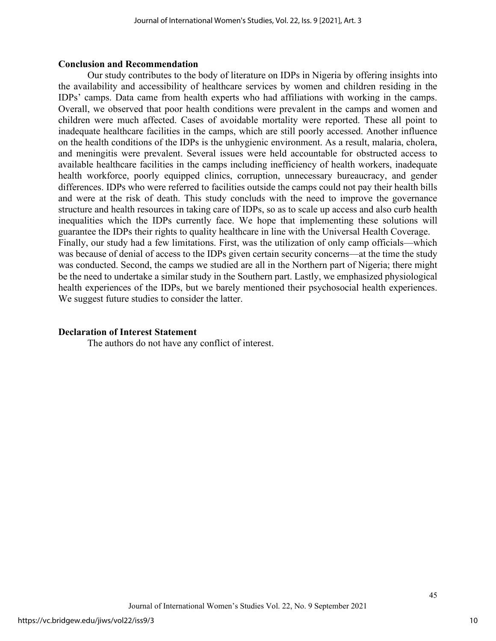#### **Conclusion and Recommendation**

Our study contributes to the body of literature on IDPs in Nigeria by offering insights into the availability and accessibility of healthcare services by women and children residing in the IDPs' camps. Data came from health experts who had affiliations with working in the camps. Overall, we observed that poor health conditions were prevalent in the camps and women and children were much affected. Cases of avoidable mortality were reported. These all point to inadequate healthcare facilities in the camps, which are still poorly accessed. Another influence on the health conditions of the IDPs is the unhygienic environment. As a result, malaria, cholera, and meningitis were prevalent. Several issues were held accountable for obstructed access to available healthcare facilities in the camps including inefficiency of health workers, inadequate health workforce, poorly equipped clinics, corruption, unnecessary bureaucracy, and gender differences. IDPs who were referred to facilities outside the camps could not pay their health bills and were at the risk of death. This study concluds with the need to improve the governance structure and health resources in taking care of IDPs, so as to scale up access and also curb health inequalities which the IDPs currently face. We hope that implementing these solutions will guarantee the IDPs their rights to quality healthcare in line with the Universal Health Coverage. Finally, our study had a few limitations. First, was the utilization of only camp officials—which was because of denial of access to the IDPs given certain security concerns—at the time the study was conducted. Second, the camps we studied are all in the Northern part of Nigeria; there might be the need to undertake a similar study in the Southern part. Lastly, we emphasized physiological health experiences of the IDPs, but we barely mentioned their psychosocial health experiences. We suggest future studies to consider the latter.

## **Declaration of Interest Statement**

The authors do not have any conflict of interest.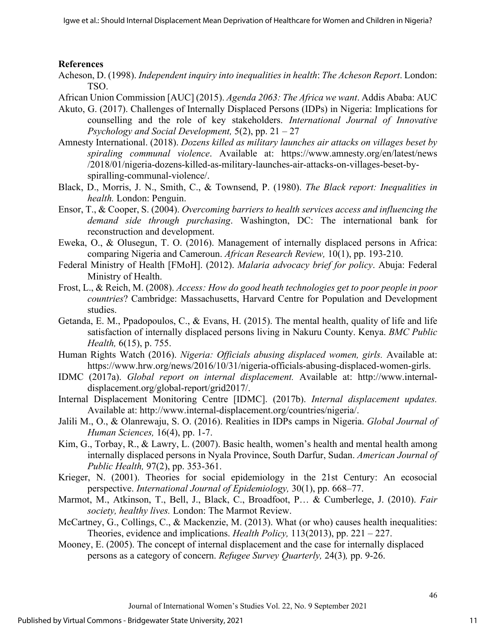## **References**

- Acheson, D. (1998). *Independent inquiry into inequalities in health*: *The Acheson Report*. London: TSO.
- African Union Commission [AUC] (2015). *Agenda 2063: The Africa we want*. Addis Ababa: AUC
- Akuto, G. (2017). Challenges of Internally Displaced Persons (IDPs) in Nigeria: Implications for counselling and the role of key stakeholders. *International Journal of Innovative Psychology and Social Development,* 5(2), pp. 21 – 27
- Amnesty International. (2018). *Dozens killed as military launches air attacks on villages beset by spiraling communal violence*. Available at: [https://www.amnesty.org/en/latest/news](https://www.amnesty.org/en/latest/news%20/2018/01/nigeria-dozens-killed-as-military-launches-air-attacks-on-villages-beset-by-spiralling-communal-violence/)  [/2018/01/nigeria-dozens-killed-as-military-launches-air-attacks-on-villages-beset-by](https://www.amnesty.org/en/latest/news%20/2018/01/nigeria-dozens-killed-as-military-launches-air-attacks-on-villages-beset-by-spiralling-communal-violence/)[spiralling-communal-violence/.](https://www.amnesty.org/en/latest/news%20/2018/01/nigeria-dozens-killed-as-military-launches-air-attacks-on-villages-beset-by-spiralling-communal-violence/)
- Black, D., Morris, J. N., Smith, C., & Townsend, P. (1980). *The Black report: Inequalities in health.* London: Penguin.
- Ensor, T., & Cooper, S. (2004). *Overcoming barriers to health services access and influencing the demand side through purchasing*. Washington, DC: The international bank for reconstruction and development.
- Eweka, O., & Olusegun, T. O. (2016). Management of internally displaced persons in Africa: comparing Nigeria and Cameroun. *African Research Review,* 10(1), pp. 193-210.
- Federal Ministry of Health [FMoH]. (2012). *Malaria advocacy brief for policy*. Abuja: Federal Ministry of Health.
- Frost, L., & Reich, M. (2008). *Access: How do good heath technologies get to poor people in poor countries*? Cambridge: Massachusetts, Harvard Centre for Population and Development studies.
- Getanda, E. M., Ppadopoulos, C., & Evans, H. (2015). The mental health, quality of life and life satisfaction of internally displaced persons living in Nakuru County. Kenya. *BMC Public Health,* 6(15), p. 755.
- Human Rights Watch (2016). *Nigeria: Officials abusing displaced women, girls.* Available at: [https://www.hrw.org/news/2016/10/31/nigeria-officials-abusing-displaced-women-girls.](https://www.hrw.org/news/2016/10/31/nigeria-officials-abusing-displaced-women-girls)
- IDMC (2017a). *Global report on internal displacement.* Available at: http://www.internaldisplacement.org/global-report/grid2017/.
- Internal Displacement Monitoring Centre [IDMC]. (2017b). *Internal displacement updates.*  Available at: http://www.internal-displacement.org/countries/nigeria/.
- Jalili M., O., & Olanrewaju, S. O. (2016). Realities in IDPs camps in Nigeria. *Global Journal of Human Sciences,* 16(4), pp. 1-7.
- Kim, G., Torbay, R., & Lawry, L. (2007). Basic health, women's health and mental health among internally displaced persons in Nyala Province, South Darfur, Sudan. *American Journal of Public Health,* 97(2), pp. 353-361.
- Krieger, N. (2001). Theories for social epidemiology in the 21st Century: An ecosocial perspective. *International Journal of Epidemiology,* 30(1), pp. 668–77.
- Marmot, M., Atkinson, T., Bell, J., Black, C., Broadfoot, P… & Cumberlege, J. (2010). *Fair society, healthy lives.* London: The Marmot Review.
- McCartney, G., Collings, C., & Mackenzie, M. (2013). What (or who) causes health inequalities: Theories, evidence and implications. *Health Policy,* 113(2013), pp. 221 – 227.
- Mooney, E. (2005). The concept of internal displacement and the case for internally displaced persons as a category of concern. *Refugee Survey Quarterly,* 24(3)*,* pp. 9-26.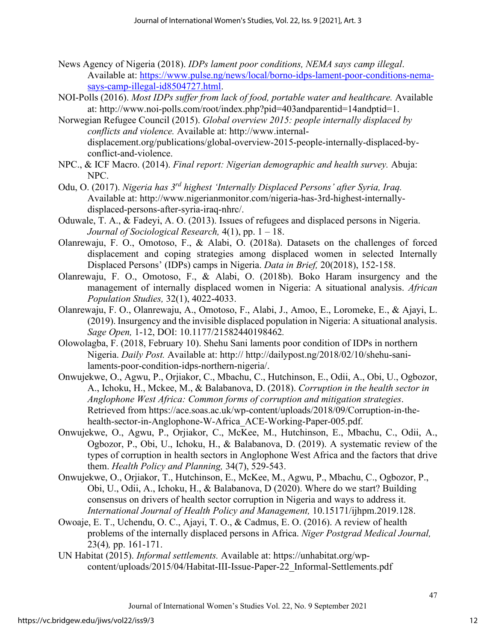- News Agency of Nigeria (2018). *IDPs lament poor conditions, NEMA says camp illegal*. Available at: [https://www.pulse.ng/news/local/borno-idps-lament-poor-conditions-nema](https://www.pulse.ng/news/local/borno-idps-lament-poor-conditions-nema-says-camp-illegal-id8504727.html)[says-camp-illegal-id8504727.html.](https://www.pulse.ng/news/local/borno-idps-lament-poor-conditions-nema-says-camp-illegal-id8504727.html)
- NOI-Polls (2016). *Most IDPs suffer from lack of food, portable water and healthcare.* Available at: [http://www.noi-polls.com/root/index.php?pid=403andparentid=14andptid=1.](http://www.noi-polls.com/root/index.php?pid=403&parentid=14&ptid=1)
- Norwegian Refugee Council (2015). *Global overview 2015: people internally displaced by conflicts and violence.* Available at: http://www.internaldisplacement.org/publications/global-overview-2015-people-internally-displaced-byconflict-and-violence.
- NPC., & ICF Macro. (2014). *Final report: Nigerian demographic and health survey.* Abuja: NPC.
- Odu, O. (2017). *Nigeria has 3rd highest 'Internally Displaced Persons' after Syria, Iraq.*  Available at: http://www.nigerianmonitor.com/nigeria-has-3rd-highest-internallydisplaced-persons-after-syria-iraq-nhrc/.
- Oduwale, T. A., & Fadeyi, A. O. (2013). Issues of refugees and displaced persons in Nigeria. *Journal of Sociological Research,* 4(1), pp. 1 – 18.
- Olanrewaju, F. O., Omotoso, F., & Alabi, O. (2018a). Datasets on the challenges of forced displacement and coping strategies among displaced women in selected Internally Displaced Persons' (IDPs) camps in Nigeria. *Data in Brief,* 20(2018), 152-158.
- Olanrewaju, F. O., Omotoso, F., & Alabi, O. (2018b). Boko Haram insurgency and the management of internally displaced women in Nigeria: A situational analysis. *African Population Studies,* 32(1), 4022-4033.
- Olanrewaju, F. O., Olanrewaju, A., Omotoso, F., Alabi, J., Amoo, E., Loromeke, E., & Ajayi, L. (2019). Insurgency and the invisible displaced population in Nigeria: A situational analysis. *Sage Open,* 1-12, DOI: 10.1177/21582440198462*.*
- Olowolagba, F. (2018, February 10). Shehu Sani laments poor condition of IDPs in northern Nigeria. *Daily Post.* Available at: http:// http://dailypost.ng/2018/02/10/shehu-sanilaments-poor-condition-idps-northern-nigeria/.
- Onwujekwe, O., Agwu, P., Orjiakor, C., Mbachu, C., Hutchinson, E., Odii, A., Obi, U., Ogbozor, A., Ichoku, H., Mckee, M., & Balabanova, D. (2018). *Corruption in the health sector in Anglophone West Africa: Common forms of corruption and mitigation strategies*. Retrieved from https://ace.soas.ac.uk/wp-content/uploads/2018/09/Corruption-in-thehealth-sector-in-Anglophone-W-Africa\_ACE-Working-Paper-005.pdf.
- Onwujekwe, O., Agwu, P., Orjiakor, C., McKee, M., Hutchinson, E., Mbachu, C., Odii, A., Ogbozor, P., Obi, U., Ichoku, H., & Balabanova, D. (2019). A systematic review of the types of corruption in health sectors in Anglophone West Africa and the factors that drive them. *Health Policy and Planning,* 34(7), 529-543.
- Onwujekwe, O., Orjiakor, T., Hutchinson, E., McKee, M., Agwu, P., Mbachu, C., Ogbozor, P., Obi, U., Odii, A., Ichoku, H., & Balabanova, D (2020). Where do we start? Building consensus on drivers of health sector corruption in Nigeria and ways to address it. *International Journal of Health Policy and Management,* 10.15171/ijhpm.2019.128.
- Owoaje, E. T., Uchendu, O. C., Ajayi, T. O., & Cadmus, E. O. (2016). A review of health problems of the internally displaced persons in Africa. *Niger Postgrad Medical Journal,*  23(4)*,* pp. 161-171.
- UN Habitat (2015). *Informal settlements.* Available at: https://unhabitat.org/wpcontent/uploads/2015/04/Habitat-III-Issue-Paper-22\_Informal-Settlements.pdf